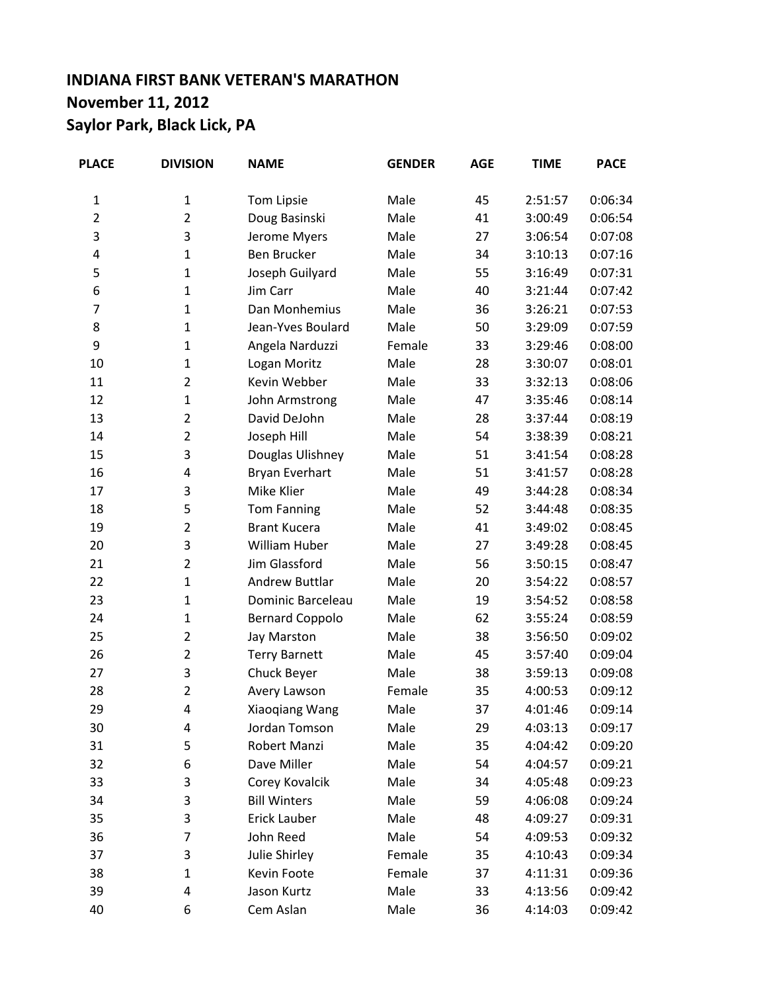## **INDIANA FIRST BANK VETERAN'S MARATHON November 11, 2012 Saylor Park, Black Lick, PA**

| <b>PLACE</b>   | <b>DIVISION</b> | <b>NAME</b>            | <b>GENDER</b> | <b>AGE</b> | <b>TIME</b> | <b>PACE</b> |
|----------------|-----------------|------------------------|---------------|------------|-------------|-------------|
| $\mathbf{1}$   | 1               | Tom Lipsie             | Male          | 45         | 2:51:57     | 0:06:34     |
| $\mathbf 2$    | $\overline{2}$  | Doug Basinski          | Male          | 41         | 3:00:49     | 0:06:54     |
| 3              | 3               | Jerome Myers           | Male          | 27         | 3:06:54     | 0:07:08     |
| 4              | $\mathbf{1}$    | <b>Ben Brucker</b>     | Male          | 34         | 3:10:13     | 0:07:16     |
| 5              | 1               | Joseph Guilyard        | Male          | 55         | 3:16:49     | 0:07:31     |
| 6              | $\mathbf{1}$    | Jim Carr               | Male          | 40         | 3:21:44     | 0:07:42     |
| $\overline{7}$ | $\mathbf{1}$    | Dan Monhemius          | Male          | 36         | 3:26:21     | 0:07:53     |
| 8              | $\mathbf{1}$    | Jean-Yves Boulard      | Male          | 50         | 3:29:09     | 0:07:59     |
| 9              | $\mathbf{1}$    | Angela Narduzzi        | Female        | 33         | 3:29:46     | 0:08:00     |
| 10             | $\mathbf{1}$    | Logan Moritz           | Male          | 28         | 3:30:07     | 0:08:01     |
| 11             | $\overline{2}$  | Kevin Webber           | Male          | 33         | 3:32:13     | 0:08:06     |
| 12             | $\mathbf{1}$    | John Armstrong         | Male          | 47         | 3:35:46     | 0:08:14     |
| 13             | 2               | David DeJohn           | Male          | 28         | 3:37:44     | 0:08:19     |
| 14             | $\overline{2}$  | Joseph Hill            | Male          | 54         | 3:38:39     | 0:08:21     |
| 15             | 3               | Douglas Ulishney       | Male          | 51         | 3:41:54     | 0:08:28     |
| 16             | 4               | Bryan Everhart         | Male          | 51         | 3:41:57     | 0:08:28     |
| 17             | 3               | Mike Klier             | Male          | 49         | 3:44:28     | 0:08:34     |
| 18             | 5               | <b>Tom Fanning</b>     | Male          | 52         | 3:44:48     | 0:08:35     |
| 19             | $\overline{2}$  | <b>Brant Kucera</b>    | Male          | 41         | 3:49:02     | 0:08:45     |
| 20             | 3               | William Huber          | Male          | 27         | 3:49:28     | 0:08:45     |
| 21             | 2               | Jim Glassford          | Male          | 56         | 3:50:15     | 0:08:47     |
| 22             | $\mathbf{1}$    | <b>Andrew Buttlar</b>  | Male          | 20         | 3:54:22     | 0:08:57     |
| 23             | $\mathbf{1}$    | Dominic Barceleau      | Male          | 19         | 3:54:52     | 0:08:58     |
| 24             | $\mathbf{1}$    | <b>Bernard Coppolo</b> | Male          | 62         | 3:55:24     | 0:08:59     |
| 25             | $\overline{2}$  | Jay Marston            | Male          | 38         | 3:56:50     | 0:09:02     |
| 26             | 2               | <b>Terry Barnett</b>   | Male          | 45         | 3:57:40     | 0:09:04     |
| 27             | 3               | Chuck Beyer            | Male          | 38         | 3:59:13     | 0:09:08     |
| 28             | $\overline{2}$  | Avery Lawson           | Female        | 35         | 4:00:53     | 0:09:12     |
| 29             | 4               | Xiaoqiang Wang         | Male          | 37         | 4:01:46     | 0:09:14     |
| 30             | 4               | Jordan Tomson          | Male          | 29         | 4:03:13     | 0:09:17     |
| 31             | 5               | Robert Manzi           | Male          | 35         | 4:04:42     | 0:09:20     |
| 32             | 6               | Dave Miller            | Male          | 54         | 4:04:57     | 0:09:21     |
| 33             | 3               | Corey Kovalcik         | Male          | 34         | 4:05:48     | 0:09:23     |
| 34             | 3               | <b>Bill Winters</b>    | Male          | 59         | 4:06:08     | 0:09:24     |
| 35             | 3               | Erick Lauber           | Male          | 48         | 4:09:27     | 0:09:31     |
| 36             | 7               | John Reed              | Male          | 54         | 4:09:53     | 0:09:32     |
| 37             | 3               | Julie Shirley          | Female        | 35         | 4:10:43     | 0:09:34     |
| 38             | 1               | Kevin Foote            | Female        | 37         | 4:11:31     | 0:09:36     |
| 39             | 4               | Jason Kurtz            | Male          | 33         | 4:13:56     | 0:09:42     |
| 40             | 6               | Cem Aslan              | Male          | 36         | 4:14:03     | 0:09:42     |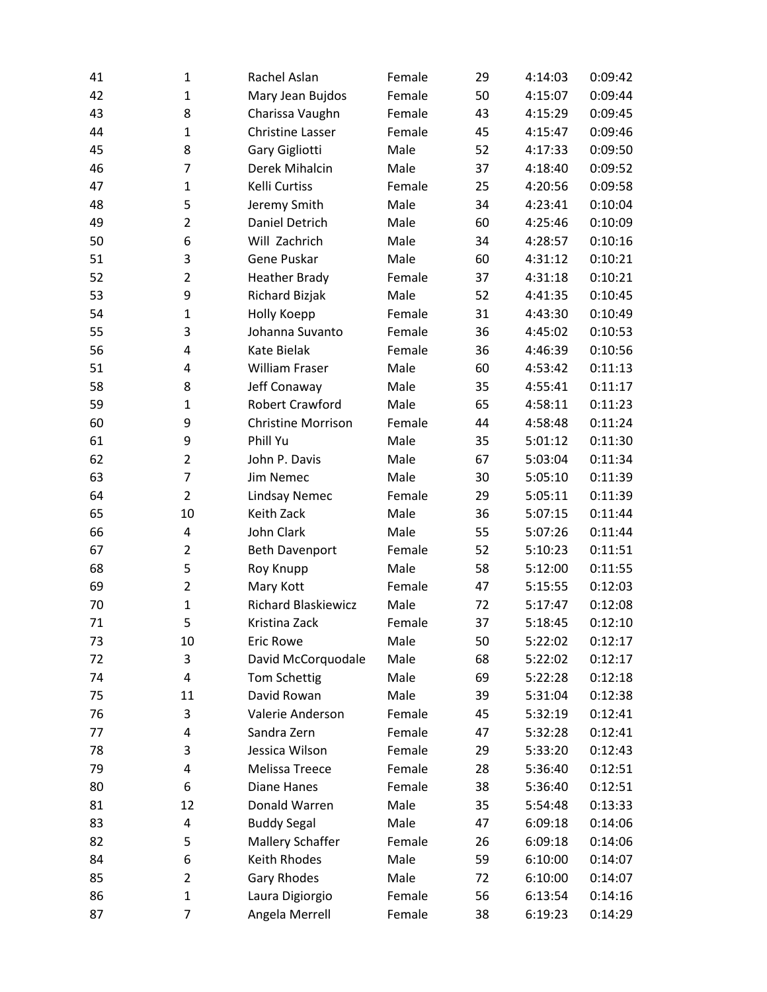| 41 | $\mathbf{1}$   | Rachel Aslan               | Female | 29 | 4:14:03 | 0:09:42 |
|----|----------------|----------------------------|--------|----|---------|---------|
| 42 | $\mathbf{1}$   | Mary Jean Bujdos           | Female | 50 | 4:15:07 | 0:09:44 |
| 43 | 8              | Charissa Vaughn            | Female | 43 | 4:15:29 | 0:09:45 |
| 44 | $\mathbf{1}$   | <b>Christine Lasser</b>    | Female | 45 | 4:15:47 | 0:09:46 |
| 45 | 8              | Gary Gigliotti             | Male   | 52 | 4:17:33 | 0:09:50 |
| 46 | $\overline{7}$ | Derek Mihalcin             | Male   | 37 | 4:18:40 | 0:09:52 |
| 47 | $\mathbf{1}$   | Kelli Curtiss              | Female | 25 | 4:20:56 | 0:09:58 |
| 48 | 5              | Jeremy Smith               | Male   | 34 | 4:23:41 | 0:10:04 |
| 49 | $\overline{2}$ | Daniel Detrich             | Male   | 60 | 4:25:46 | 0:10:09 |
| 50 | 6              | Will Zachrich              | Male   | 34 | 4:28:57 | 0:10:16 |
| 51 | 3              | Gene Puskar                | Male   | 60 | 4:31:12 | 0:10:21 |
| 52 | $\overline{2}$ | <b>Heather Brady</b>       | Female | 37 | 4:31:18 | 0:10:21 |
| 53 | 9              | Richard Bizjak             | Male   | 52 | 4:41:35 | 0:10:45 |
| 54 | $\mathbf{1}$   | Holly Koepp                | Female | 31 | 4:43:30 | 0:10:49 |
| 55 | 3              | Johanna Suvanto            | Female | 36 | 4:45:02 | 0:10:53 |
| 56 | 4              | Kate Bielak                | Female | 36 | 4:46:39 | 0:10:56 |
| 51 | 4              | <b>William Fraser</b>      | Male   | 60 | 4:53:42 | 0:11:13 |
| 58 | 8              | Jeff Conaway               | Male   | 35 | 4:55:41 | 0:11:17 |
| 59 | $\mathbf{1}$   | <b>Robert Crawford</b>     | Male   | 65 | 4:58:11 | 0:11:23 |
| 60 | 9              | <b>Christine Morrison</b>  | Female | 44 | 4:58:48 | 0:11:24 |
| 61 | 9              | Phill Yu                   | Male   | 35 | 5:01:12 | 0:11:30 |
| 62 | $\overline{2}$ | John P. Davis              | Male   | 67 | 5:03:04 | 0:11:34 |
| 63 | $\overline{7}$ | <b>Jim Nemec</b>           | Male   | 30 | 5:05:10 | 0:11:39 |
| 64 | $\overline{2}$ | <b>Lindsay Nemec</b>       | Female | 29 | 5:05:11 | 0:11:39 |
| 65 | 10             | Keith Zack                 | Male   | 36 | 5:07:15 | 0:11:44 |
| 66 | $\overline{4}$ | John Clark                 | Male   | 55 | 5:07:26 | 0:11:44 |
| 67 | $\overline{2}$ | <b>Beth Davenport</b>      | Female | 52 | 5:10:23 | 0:11:51 |
| 68 | 5              | Roy Knupp                  | Male   | 58 | 5:12:00 | 0:11:55 |
| 69 | $\overline{2}$ | Mary Kott                  | Female | 47 | 5:15:55 | 0:12:03 |
| 70 | $\mathbf{1}$   | <b>Richard Blaskiewicz</b> | Male   | 72 | 5:17:47 | 0:12:08 |
| 71 | 5              | Kristina Zack              | Female | 37 | 5:18:45 | 0:12:10 |
| 73 | 10             | <b>Eric Rowe</b>           | Male   | 50 | 5:22:02 | 0:12:17 |
| 72 | 3              | David McCorquodale         | Male   | 68 | 5:22:02 | 0:12:17 |
| 74 | 4              | Tom Schettig               | Male   | 69 | 5:22:28 | 0:12:18 |
| 75 | 11             | David Rowan                | Male   | 39 | 5:31:04 | 0:12:38 |
| 76 | 3              | Valerie Anderson           | Female | 45 | 5:32:19 | 0:12:41 |
| 77 | 4              | Sandra Zern                | Female | 47 | 5:32:28 | 0:12:41 |
| 78 | 3              | Jessica Wilson             | Female | 29 | 5:33:20 | 0:12:43 |
| 79 | 4              | Melissa Treece             | Female | 28 | 5:36:40 | 0:12:51 |
| 80 | 6              | <b>Diane Hanes</b>         | Female | 38 | 5:36:40 | 0:12:51 |
| 81 | 12             | Donald Warren              | Male   | 35 | 5:54:48 | 0:13:33 |
| 83 | 4              | <b>Buddy Segal</b>         | Male   | 47 | 6:09:18 | 0:14:06 |
| 82 | 5              | <b>Mallery Schaffer</b>    | Female | 26 | 6:09:18 | 0:14:06 |
| 84 | 6              | Keith Rhodes               | Male   | 59 | 6:10:00 | 0:14:07 |
| 85 | $\overline{2}$ | Gary Rhodes                | Male   | 72 | 6:10:00 | 0:14:07 |
| 86 | $\mathbf 1$    | Laura Digiorgio            | Female | 56 | 6:13:54 | 0:14:16 |
| 87 | 7              | Angela Merrell             | Female | 38 | 6:19:23 | 0:14:29 |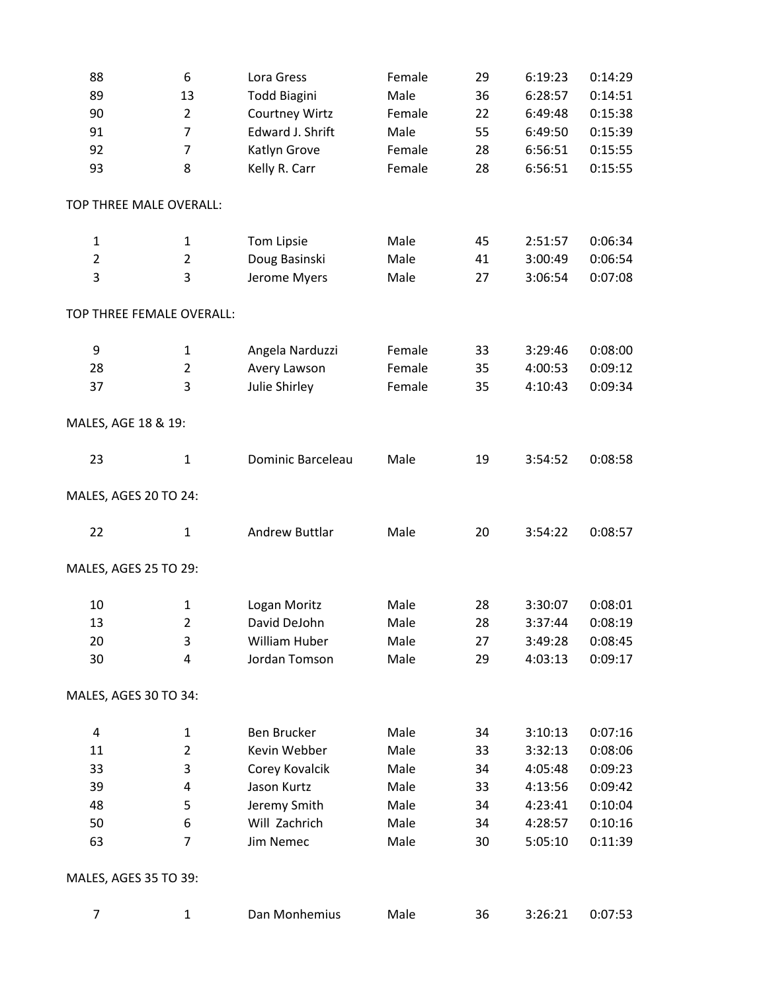| 88                        | 6              | Lora Gress            | Female | 29 | 6:19:23 | 0:14:29 |
|---------------------------|----------------|-----------------------|--------|----|---------|---------|
| 89                        | 13             | <b>Todd Biagini</b>   | Male   | 36 | 6:28:57 | 0:14:51 |
| 90                        | $\overline{2}$ | <b>Courtney Wirtz</b> | Female | 22 | 6:49:48 | 0:15:38 |
| 91                        | $\overline{7}$ | Edward J. Shrift      | Male   | 55 | 6:49:50 | 0:15:39 |
| 92                        | $\overline{7}$ | Katlyn Grove          | Female | 28 | 6:56:51 | 0:15:55 |
| 93                        | 8              | Kelly R. Carr         | Female | 28 | 6:56:51 | 0:15:55 |
| TOP THREE MALE OVERALL:   |                |                       |        |    |         |         |
| $\mathbf{1}$              | $\mathbf{1}$   | Tom Lipsie            | Male   | 45 | 2:51:57 | 0:06:34 |
| $\overline{2}$            | $\overline{2}$ | Doug Basinski         | Male   | 41 | 3:00:49 | 0:06:54 |
| 3                         | 3              | Jerome Myers          | Male   | 27 | 3:06:54 | 0:07:08 |
| TOP THREE FEMALE OVERALL: |                |                       |        |    |         |         |
| 9                         | 1              | Angela Narduzzi       | Female | 33 | 3:29:46 | 0:08:00 |
| 28                        | $\overline{2}$ | Avery Lawson          | Female | 35 | 4:00:53 | 0:09:12 |
| 37                        | 3              | Julie Shirley         | Female | 35 | 4:10:43 | 0:09:34 |
| MALES, AGE 18 & 19:       |                |                       |        |    |         |         |
| 23                        | $\mathbf 1$    | Dominic Barceleau     | Male   | 19 | 3:54:52 | 0:08:58 |
| MALES, AGES 20 TO 24:     |                |                       |        |    |         |         |
| 22                        | $\mathbf{1}$   | <b>Andrew Buttlar</b> | Male   | 20 | 3:54:22 | 0:08:57 |
| MALES, AGES 25 TO 29:     |                |                       |        |    |         |         |
| 10                        | 1              | Logan Moritz          | Male   | 28 | 3:30:07 | 0:08:01 |
| 13                        | $\overline{2}$ | David DeJohn          | Male   | 28 | 3:37:44 | 0:08:19 |
| 20                        | 3              | William Huber         | Male   | 27 | 3:49:28 | 0:08:45 |
| 30                        | 4              | Jordan Tomson         | Male   | 29 | 4:03:13 | 0:09:17 |
| MALES, AGES 30 TO 34:     |                |                       |        |    |         |         |
| 4                         | 1              | Ben Brucker           | Male   | 34 | 3:10:13 | 0:07:16 |
| 11                        | $\overline{2}$ | Kevin Webber          | Male   | 33 | 3:32:13 | 0:08:06 |
| 33                        | 3              | Corey Kovalcik        | Male   | 34 | 4:05:48 | 0:09:23 |
| 39                        | 4              | Jason Kurtz           | Male   | 33 | 4:13:56 | 0:09:42 |
| 48                        | 5              | Jeremy Smith          | Male   | 34 | 4:23:41 | 0:10:04 |
| 50                        | 6              | Will Zachrich         | Male   | 34 | 4:28:57 | 0:10:16 |
| 63                        | 7              | Jim Nemec             | Male   | 30 | 5:05:10 | 0:11:39 |
| MALES, AGES 35 TO 39:     |                |                       |        |    |         |         |
| 7                         | 1              | Dan Monhemius         | Male   | 36 | 3:26:21 | 0:07:53 |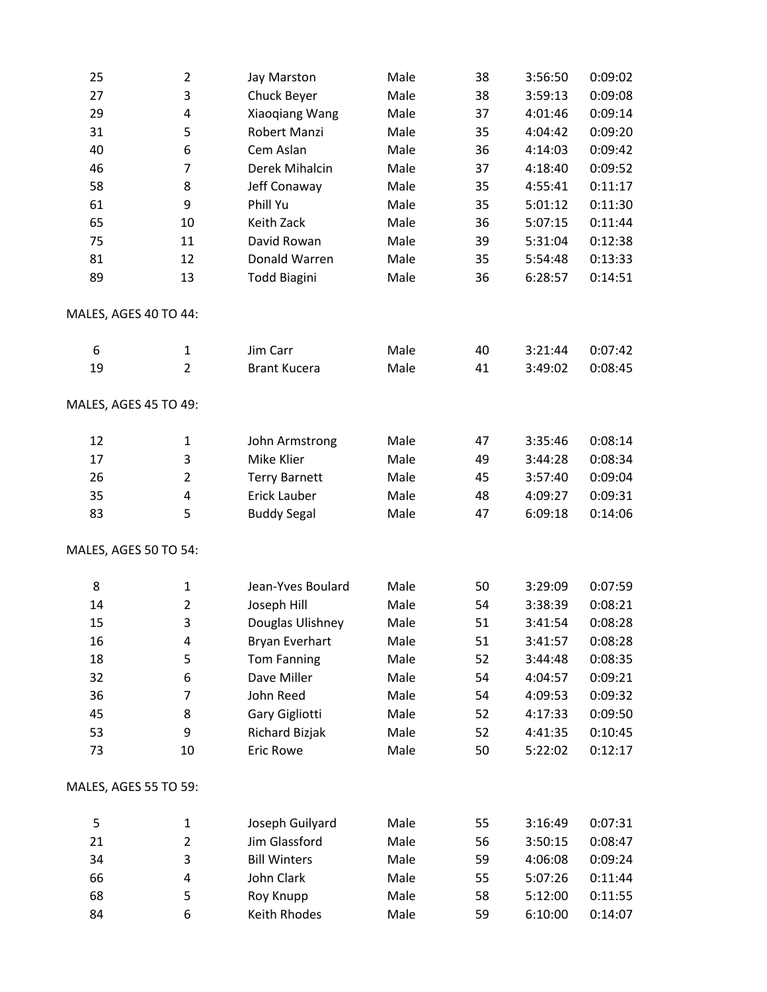| 25                    | $\overline{2}$ | Jay Marston          | Male | 38 | 3:56:50 | 0:09:02 |
|-----------------------|----------------|----------------------|------|----|---------|---------|
| 27                    | 3              | Chuck Beyer          | Male | 38 | 3:59:13 | 0:09:08 |
| 29                    | 4              | Xiaoqiang Wang       | Male | 37 | 4:01:46 | 0:09:14 |
| 31                    | 5              | <b>Robert Manzi</b>  | Male | 35 | 4:04:42 | 0:09:20 |
| 40                    | 6              | Cem Aslan            | Male | 36 | 4:14:03 | 0:09:42 |
| 46                    | 7              | Derek Mihalcin       | Male | 37 | 4:18:40 | 0:09:52 |
| 58                    | 8              | Jeff Conaway         | Male | 35 | 4:55:41 | 0:11:17 |
| 61                    | 9              | Phill Yu             | Male | 35 | 5:01:12 | 0:11:30 |
| 65                    | 10             | Keith Zack           | Male | 36 | 5:07:15 | 0:11:44 |
| 75                    | 11             | David Rowan          | Male | 39 | 5:31:04 | 0:12:38 |
| 81                    | 12             | Donald Warren        | Male | 35 | 5:54:48 | 0:13:33 |
| 89                    | 13             | <b>Todd Biagini</b>  | Male | 36 | 6:28:57 | 0:14:51 |
| MALES, AGES 40 TO 44: |                |                      |      |    |         |         |
| 6                     | $\mathbf{1}$   | Jim Carr             | Male | 40 | 3:21:44 | 0:07:42 |
| 19                    | $\overline{2}$ | <b>Brant Kucera</b>  | Male | 41 | 3:49:02 | 0:08:45 |
| MALES, AGES 45 TO 49: |                |                      |      |    |         |         |
| 12                    | 1              | John Armstrong       | Male | 47 | 3:35:46 | 0:08:14 |
| 17                    | 3              | Mike Klier           | Male | 49 | 3:44:28 | 0:08:34 |
| 26                    | $\overline{2}$ | <b>Terry Barnett</b> | Male | 45 | 3:57:40 | 0:09:04 |
| 35                    | 4              | Erick Lauber         | Male | 48 | 4:09:27 | 0:09:31 |
| 83                    | 5              | <b>Buddy Segal</b>   | Male | 47 | 6:09:18 | 0:14:06 |
| MALES, AGES 50 TO 54: |                |                      |      |    |         |         |
| 8                     | $\mathbf{1}$   | Jean-Yves Boulard    | Male | 50 | 3:29:09 | 0:07:59 |
| 14                    | $\overline{2}$ | Joseph Hill          | Male | 54 | 3:38:39 | 0:08:21 |
| 15                    | 3              | Douglas Ulishney     | Male | 51 | 3:41:54 | 0:08:28 |
| 16                    | 4              | Bryan Everhart       | Male | 51 | 3:41:57 | 0:08:28 |
| 18                    | 5              | <b>Tom Fanning</b>   | Male | 52 | 3:44:48 | 0:08:35 |
| 32                    | 6              | Dave Miller          | Male | 54 | 4:04:57 | 0:09:21 |
| 36                    | 7              | John Reed            | Male | 54 | 4:09:53 | 0:09:32 |
| 45                    | 8              | Gary Gigliotti       | Male | 52 | 4:17:33 | 0:09:50 |
| 53                    | 9              | Richard Bizjak       | Male | 52 | 4:41:35 | 0:10:45 |
| 73                    | 10             | <b>Eric Rowe</b>     | Male | 50 | 5:22:02 | 0:12:17 |
| MALES, AGES 55 TO 59: |                |                      |      |    |         |         |
| 5                     | 1              | Joseph Guilyard      | Male | 55 | 3:16:49 | 0:07:31 |
| 21                    | $\overline{2}$ | Jim Glassford        | Male | 56 | 3:50:15 | 0:08:47 |
| 34                    | 3              | <b>Bill Winters</b>  | Male | 59 | 4:06:08 | 0:09:24 |
| 66                    | 4              | John Clark           | Male | 55 | 5:07:26 | 0:11:44 |
| 68                    | 5              | Roy Knupp            | Male | 58 | 5:12:00 | 0:11:55 |
| 84                    | 6              | Keith Rhodes         | Male | 59 | 6:10:00 | 0:14:07 |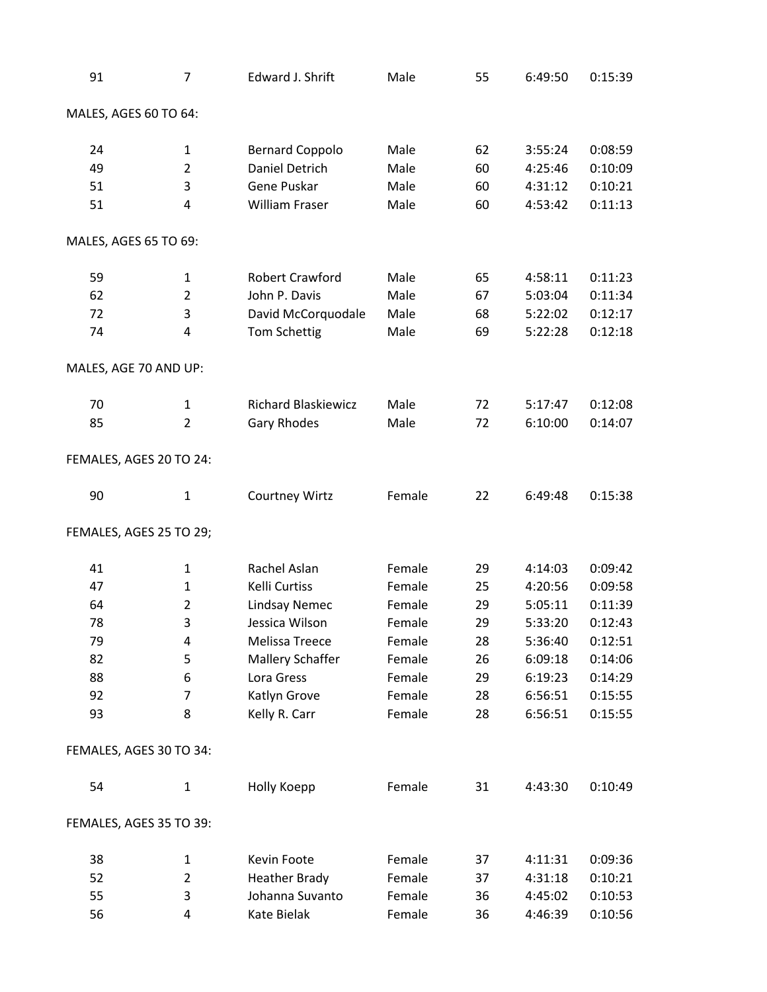| 91                      | $\overline{7}$ | Edward J. Shrift           | Male   | 55 | 6:49:50 | 0:15:39 |
|-------------------------|----------------|----------------------------|--------|----|---------|---------|
| MALES, AGES 60 TO 64:   |                |                            |        |    |         |         |
| 24                      | 1              | <b>Bernard Coppolo</b>     | Male   | 62 | 3:55:24 | 0:08:59 |
| 49                      | $\overline{2}$ | <b>Daniel Detrich</b>      | Male   | 60 | 4:25:46 | 0:10:09 |
| 51                      | 3              | Gene Puskar                | Male   | 60 | 4:31:12 | 0:10:21 |
| 51                      | 4              | <b>William Fraser</b>      | Male   | 60 | 4:53:42 | 0:11:13 |
| MALES, AGES 65 TO 69:   |                |                            |        |    |         |         |
| 59                      | $\mathbf{1}$   | Robert Crawford            | Male   | 65 | 4:58:11 | 0:11:23 |
| 62                      | $\overline{2}$ | John P. Davis              | Male   | 67 | 5:03:04 | 0:11:34 |
| 72                      | 3              | David McCorquodale         | Male   | 68 | 5:22:02 | 0:12:17 |
| 74                      | 4              | <b>Tom Schettig</b>        | Male   | 69 | 5:22:28 | 0:12:18 |
| MALES, AGE 70 AND UP:   |                |                            |        |    |         |         |
| 70                      | $\mathbf{1}$   | <b>Richard Blaskiewicz</b> | Male   | 72 | 5:17:47 | 0:12:08 |
| 85                      | $\overline{2}$ | <b>Gary Rhodes</b>         | Male   | 72 | 6:10:00 | 0:14:07 |
| FEMALES, AGES 20 TO 24: |                |                            |        |    |         |         |
| 90                      | 1              | <b>Courtney Wirtz</b>      | Female | 22 | 6:49:48 | 0:15:38 |
| FEMALES, AGES 25 TO 29; |                |                            |        |    |         |         |
| 41                      | $\mathbf{1}$   | Rachel Aslan               | Female | 29 | 4:14:03 | 0:09:42 |
| 47                      | $\mathbf{1}$   | Kelli Curtiss              | Female | 25 | 4:20:56 | 0:09:58 |
| 64                      | $\overline{2}$ | <b>Lindsay Nemec</b>       | Female | 29 | 5:05:11 | 0:11:39 |
| 78                      | 3              | Jessica Wilson             | Female | 29 | 5:33:20 | 0:12:43 |
| 79                      | 4              | Melissa Treece             | Female | 28 | 5:36:40 | 0:12:51 |
| 82                      | 5              | Mallery Schaffer           | Female | 26 | 6:09:18 | 0:14:06 |
| 88                      | 6              | Lora Gress                 | Female | 29 | 6:19:23 | 0:14:29 |
| 92                      | 7              | Katlyn Grove               | Female | 28 | 6:56:51 | 0:15:55 |
| 93                      | 8              | Kelly R. Carr              | Female | 28 | 6:56:51 | 0:15:55 |
| FEMALES, AGES 30 TO 34: |                |                            |        |    |         |         |
| 54                      | $\mathbf{1}$   | Holly Koepp                | Female | 31 | 4:43:30 | 0:10:49 |
| FEMALES, AGES 35 TO 39: |                |                            |        |    |         |         |
| 38                      | $\mathbf{1}$   | Kevin Foote                | Female | 37 | 4:11:31 | 0:09:36 |
| 52                      | $\overline{2}$ | <b>Heather Brady</b>       | Female | 37 | 4:31:18 | 0:10:21 |
| 55                      | 3              | Johanna Suvanto            | Female | 36 | 4:45:02 | 0:10:53 |
| 56                      | 4              | Kate Bielak                | Female | 36 | 4:46:39 | 0:10:56 |